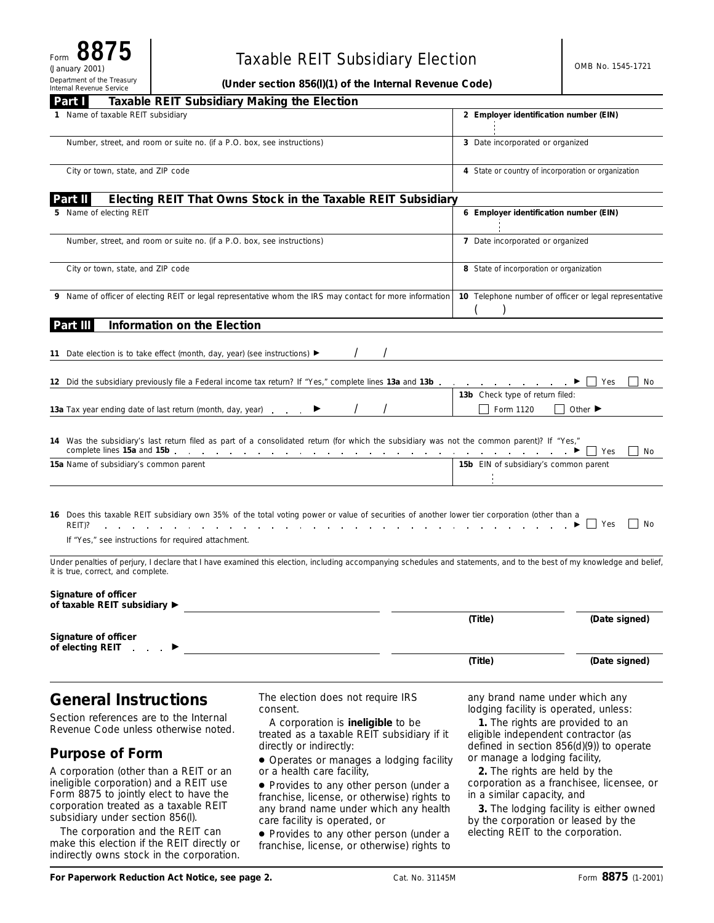# Taxable REIT Subsidiary Election **CELA Strategies** Assessment and OMB No. 1545-1721

**(Under section 856(l)(1) of the Internal Revenue Code)**

| Taxable REIT Subsidiary Making the Election<br>Part I                                                                                                                                                                  |                                                                                                                                                                                                                                                                                                                         |                                                                                                                                                                                                |                             |
|------------------------------------------------------------------------------------------------------------------------------------------------------------------------------------------------------------------------|-------------------------------------------------------------------------------------------------------------------------------------------------------------------------------------------------------------------------------------------------------------------------------------------------------------------------|------------------------------------------------------------------------------------------------------------------------------------------------------------------------------------------------|-----------------------------|
| 1 Name of taxable REIT subsidiary                                                                                                                                                                                      |                                                                                                                                                                                                                                                                                                                         | 2 Employer identification number (EIN)                                                                                                                                                         |                             |
| Number, street, and room or suite no. (if a P.O. box, see instructions)                                                                                                                                                |                                                                                                                                                                                                                                                                                                                         | 3 Date incorporated or organized                                                                                                                                                               |                             |
| City or town, state, and ZIP code                                                                                                                                                                                      |                                                                                                                                                                                                                                                                                                                         | 4 State or country of incorporation or organization                                                                                                                                            |                             |
| Part II                                                                                                                                                                                                                | Electing REIT That Owns Stock in the Taxable REIT Subsidiary                                                                                                                                                                                                                                                            |                                                                                                                                                                                                |                             |
| 5 Name of electing REIT                                                                                                                                                                                                |                                                                                                                                                                                                                                                                                                                         | 6 Employer identification number (EIN)                                                                                                                                                         |                             |
| Number, street, and room or suite no. (if a P.O. box, see instructions)                                                                                                                                                |                                                                                                                                                                                                                                                                                                                         | 7 Date incorporated or organized                                                                                                                                                               |                             |
| City or town, state, and ZIP code                                                                                                                                                                                      | 8 State of incorporation or organization                                                                                                                                                                                                                                                                                |                                                                                                                                                                                                |                             |
|                                                                                                                                                                                                                        | 9 Name of officer of electing REIT or legal representative whom the IRS may contact for more information                                                                                                                                                                                                                | 10 Telephone number of officer or legal representative                                                                                                                                         |                             |
| Information on the Election<br>Part III                                                                                                                                                                                |                                                                                                                                                                                                                                                                                                                         |                                                                                                                                                                                                |                             |
| 11 Date election is to take effect (month, day, year) (see instructions) ▶                                                                                                                                             |                                                                                                                                                                                                                                                                                                                         |                                                                                                                                                                                                |                             |
| 12 Did the subsidiary previously file a Federal income tax return? If "Yes," complete lines 13a and 13b                                                                                                                |                                                                                                                                                                                                                                                                                                                         |                                                                                                                                                                                                | Yes<br>No                   |
| 13a Tax year ending date of last return (month, day, year).                                                                                                                                                            |                                                                                                                                                                                                                                                                                                                         | 13b Check type of return filed:<br>Form 1120                                                                                                                                                   | Other $\blacktriangleright$ |
|                                                                                                                                                                                                                        | 14 Was the subsidiary's last return filed as part of a consolidated return (for which the subsidiary was not the common parent)? If "Yes,"                                                                                                                                                                              |                                                                                                                                                                                                | Yes<br>No                   |
| 15a Name of subsidiary's common parent                                                                                                                                                                                 |                                                                                                                                                                                                                                                                                                                         | 15b EIN of subsidiary's common parent                                                                                                                                                          |                             |
| REIT)?<br>the contract of the contract of the contract of the contract of the contract of the contract of the contract of<br>If "Yes," see instructions for required attachment.<br>it is true, correct, and complete. | 16 Does this taxable REIT subsidiary own 35% of the total voting power or value of securities of another lower tier corporation (other than a<br>Under penalties of perjury, I declare that I have examined this election, including accompanying schedules and statements, and to the best of my knowledge and belief, | and the contract of the contract of the                                                                                                                                                        | Yes<br>No                   |
| Signature of officer<br>of taxable REIT subsidiary ▶                                                                                                                                                                   |                                                                                                                                                                                                                                                                                                                         |                                                                                                                                                                                                |                             |
| Signature of officer                                                                                                                                                                                                   |                                                                                                                                                                                                                                                                                                                         | (Title)                                                                                                                                                                                        | (Date signed)               |
| of electing REIT                                                                                                                                                                                                       |                                                                                                                                                                                                                                                                                                                         | (Title)                                                                                                                                                                                        | (Date signed)               |
| <b>General Instructions</b><br>Section references are to the Internal<br>Revenue Code unless otherwise noted.                                                                                                          | The election does not require IRS<br>consent.<br>A corporation is ineligible to be<br>treated as a taxable REIT subsidiary if it<br>directly or indirectly:                                                                                                                                                             | any brand name under which any<br>lodging facility is operated, unless:<br>1. The rights are provided to an<br>eligible independent contractor (as<br>defined in section 856(d)(9)) to operate |                             |

**Purpose of Form**

A corporation (other than a REIT or an ineligible corporation) and a REIT use Form 8875 to jointly elect to have the corporation treated as a taxable REIT subsidiary under section 856(l).

The corporation and the REIT can make this election if the REIT directly or indirectly owns stock in the corporation.

directly or indirectly:

● Operates or manages a lodging facility or a health care facility,

● Provides to any other person (under a franchise, license, or otherwise) rights to any brand name under which any health care facility is operated, or

● Provides to any other person (under a franchise, license, or otherwise) rights to

defined in section 856(d)(9)) to operate or manage a lodging facility,

**2.** The rights are held by the corporation as a franchisee, licensee, or in a similar capacity, and

**3.** The lodging facility is either owned by the corporation or leased by the electing REIT to the corporation.